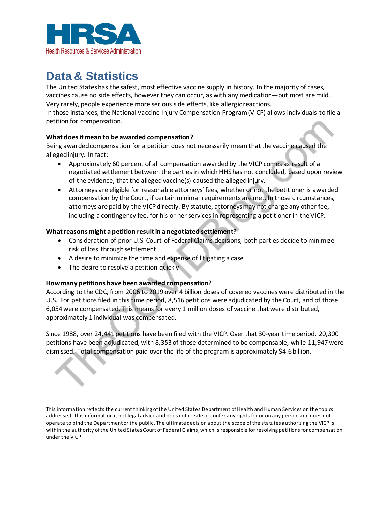

# **Data & Statistics**

The United States has the safest, most effective vaccine supply in history. In the majority of cases, vaccines cause no side effects, however they can occur, as with any medication—but most are mild. Very rarely, people experience more serious side effects, like allergic reactions.

In those instances, the National Vaccine Injury Compensation Program (VICP) allows individuals to file a petition for compensation.

### **What does it mean to be awarded compensation?**

Being awarded compensation for a petition does not necessarily mean that the vaccine caused the alleged injury. In fact:

- Approximately 60 percent of all compensation awarded by the VICP comes as result of a negotiated settlement between the parties in which HHS has not concluded, based upon review of the evidence, that the alleged vaccine(s) caused the alleged injury.
- Attorneys are eligible for reasonable attorneys' fees, whether or not the petitioner is awarded compensation by the Court, if certain minimal requirements are met. In those circumstances, attorneys are paid by the VICP directly. By statute, attorneys may not charge any other fee, including a contingency fee, for his or her services in representing a petitioner in the VICP.

### **What reasons might a petition result in a negotiated settlement?**

- Consideration of prior U.S. Court of Federal Claims decisions, both parties decide to minimize risk of loss through settlement
- A desire to minimize the time and expense of litigating a case
- The desire to resolve a petition quickly

#### **How many petitions have been awarded compensation?**

According to the CDC, from 2006 to 2019 over 4 billion doses of covered vaccines were distributed in the U.S. For petitions filed in this time period, 8,516 petitions were adjudicated by the Court, and of those 6,054were compensated. This means for every 1 million doses of vaccine that were distributed, approximately 1 individual was compensated.

Since 1988, over 24,441 petitions have been filed with the VICP. Over that 30-year time period, 20,300 petitions have been adjudicated, with 8,353 of those determined to be compensable, while 11,947were dismissed. Total compensation paid over the life of the program is approximately \$4.6 billion.

This information reflects the current thinking of the United States Department of Health and Human Services on the topics addressed. This information is not legal advice and does not create or confer any rights for or on any person and does not operate to bind the Department or the public. The ultimate decision about the scope of the statutes authorizing the VICP is within the authority of the United States Court of Federal Claims, which is responsible for resolving petitions for compensation under the VICP.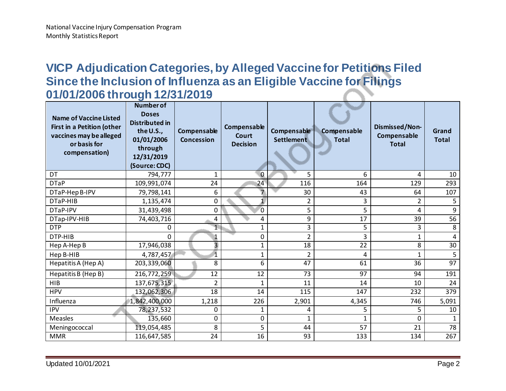## **VICP Adjudication Categories, by Alleged Vaccine for Petitions Filed Since the Inclusion of Influenza as an Eligible Vaccine for Filings 01/01/2006 through 12/31/2019**

| <b>Name of Vaccine Listed</b><br>First in a Petition (other<br>vaccines may be alleged<br>or basis for<br>compensation) | <b>Number of</b><br><b>Doses</b><br><b>Distributed in</b><br>the U.S.,<br>01/01/2006<br>through<br>12/31/2019<br>(Source: CDC) | Compensable<br><b>Concession</b> | Compensable<br>Court<br><b>Decision</b> | Compensable<br><b>Settlement</b> | Compensable<br><b>Total</b> | <b>Dismissed/Non-</b><br>Compensable<br><b>Total</b> | Grand<br><b>Total</b> |
|-------------------------------------------------------------------------------------------------------------------------|--------------------------------------------------------------------------------------------------------------------------------|----------------------------------|-----------------------------------------|----------------------------------|-----------------------------|------------------------------------------------------|-----------------------|
| DT                                                                                                                      | 794,777                                                                                                                        | 1                                | 0                                       | 5                                | 6                           | 4                                                    | 10                    |
| <b>DTaP</b>                                                                                                             | 109,991,074                                                                                                                    | 24                               | 24                                      | 116                              | 164                         | 129                                                  | 293                   |
| DTaP-Hep B-IPV                                                                                                          | 79,798,141                                                                                                                     | 6                                | 7                                       | 30                               | 43                          | 64                                                   | 107                   |
| DTaP-HIB                                                                                                                | 1,135,474                                                                                                                      | 0                                | $\mathbf{1}$                            | $\overline{2}$                   | 3                           | 2                                                    | 5                     |
| DTaP-IPV                                                                                                                | 31,439,498                                                                                                                     | 0                                | 0                                       | 5                                | 5                           | 4                                                    | 9                     |
| DTap-IPV-HIB                                                                                                            | 74,403,716                                                                                                                     | 4                                | 4                                       | 9                                | 17                          | 39                                                   | 56                    |
| <b>DTP</b>                                                                                                              | 0                                                                                                                              | $\mathbf{1}$                     | 1                                       | 3                                | 5                           | 3                                                    | 8                     |
| DTP-HIB                                                                                                                 | $\Omega$                                                                                                                       | $\mathbf{1}$                     | 0                                       | $\overline{2}$                   | 3                           | 1                                                    | 4                     |
| Hep A-Hep B                                                                                                             | 17,946,038                                                                                                                     | 3                                | $\mathbf{1}$                            | 18                               | 22                          | 8                                                    | 30                    |
| Hep B-HIB                                                                                                               | 4,787,457                                                                                                                      | $\mathbf{1}$                     | $\mathbf 1$                             | $\overline{2}$                   | 4                           | 1                                                    | 5                     |
| Hepatitis A (Hep A)                                                                                                     | 203,339,060                                                                                                                    | 8                                | 6                                       | 47                               | 61                          | 36                                                   | 97                    |
| Hepatitis B (Hep B)                                                                                                     | 216,772,259                                                                                                                    | 12                               | 12                                      | 73                               | 97                          | 94                                                   | 191                   |
| <b>HIB</b>                                                                                                              | 137,675,315                                                                                                                    | $\overline{2}$                   | 1                                       | 11                               | 14                          | 10                                                   | 24                    |
| <b>HPV</b>                                                                                                              | 132,062,306                                                                                                                    | 18                               | 14                                      | 115                              | 147                         | 232                                                  | 379                   |
| Influenza                                                                                                               | 1,842,400,000                                                                                                                  | 1,218                            | 226                                     | 2,901                            | 4,345                       | 746                                                  | 5,091                 |
| <b>IPV</b>                                                                                                              | 78,237,532                                                                                                                     | 0                                | 1                                       | 4                                | 5                           | 5                                                    | 10                    |
| <b>Measles</b>                                                                                                          | 135,660                                                                                                                        | 0                                | 0                                       | 1                                | 1                           | $\mathbf 0$                                          | $\mathbf{1}$          |
| Meningococcal                                                                                                           | 119,054,485                                                                                                                    | 8                                | 5                                       | 44                               | 57                          | 21                                                   | 78                    |
| <b>MMR</b>                                                                                                              | 116,647,585                                                                                                                    | 24                               | 16                                      | 93                               | 133                         | 134                                                  | 267                   |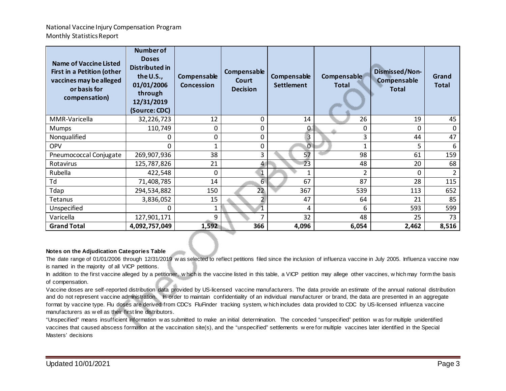| <b>Name of Vaccine Listed</b><br><b>First in a Petition (other</b><br>vaccines may be alleged<br>or basis for<br>compensation) | <b>Number of</b><br><b>Doses</b><br><b>Distributed in</b><br>the U.S.,<br>01/01/2006<br>through<br>12/31/2019<br>(Source: CDC) | Compensable<br><b>Concession</b> | Compensable<br>Court<br><b>Decision</b> | Compensable<br><b>Settlement</b> | Compensable<br><b>Total</b> | Dismissed/Non-<br>Compensable<br><b>Total</b> | Grand<br><b>Total</b> |
|--------------------------------------------------------------------------------------------------------------------------------|--------------------------------------------------------------------------------------------------------------------------------|----------------------------------|-----------------------------------------|----------------------------------|-----------------------------|-----------------------------------------------|-----------------------|
| MMR-Varicella                                                                                                                  | 32,226,723                                                                                                                     | 12                               | 0                                       | 14                               | 26                          | 19                                            | 45                    |
| <b>Mumps</b>                                                                                                                   | 110,749                                                                                                                        | 0                                | 0                                       | 0                                | 0                           | $\Omega$                                      | 0                     |
| Nonqualified                                                                                                                   | 0                                                                                                                              | 0                                | 0                                       | 3                                | 3                           | 44                                            | 47                    |
| <b>OPV</b>                                                                                                                     | $\Omega$                                                                                                                       |                                  | 0                                       | $\overline{0}$                   | 1                           | 5                                             | 6                     |
| Pneumococcal Conjugate                                                                                                         | 269,907,936                                                                                                                    | 38                               | 3                                       | 57                               | 98                          | 61                                            | 159                   |
| Rotavirus                                                                                                                      | 125,787,826                                                                                                                    | 21                               |                                         | 23                               | 48                          | 20                                            | 68                    |
| Rubella                                                                                                                        | 422,548                                                                                                                        | 0                                | 1                                       |                                  | 2                           | $\Omega$                                      |                       |
| Td                                                                                                                             | 71,408,785                                                                                                                     | 14                               | $6 \overline{6}$                        | 67                               | 87                          | 28                                            | 115                   |
| Tdap                                                                                                                           | 294,534,882                                                                                                                    | 150                              | 22                                      | 367                              | 539                         | 113                                           | 652                   |
| Tetanus                                                                                                                        | 3,836,052                                                                                                                      | 15                               | 2                                       | 47                               | 64                          | 21                                            | 85                    |
| Unspecified                                                                                                                    | 0                                                                                                                              |                                  | 1                                       | 4                                | 6                           | 593                                           | 599                   |
| Varicella                                                                                                                      | 127,901,171                                                                                                                    | 9                                |                                         | 32                               | 48                          | 25                                            | 73                    |
| <b>Grand Total</b>                                                                                                             | 4,092,757,049                                                                                                                  | 1,592                            | 366                                     | 4,096                            | 6,054                       | 2,462                                         | 8,516                 |

#### **Notes on the Adjudication Categories Table**

The date range of 01/01/2006 through 12/31/2019 w as selected to reflect petitions filed since the inclusion of influenza vaccine in July 2005. Influenza vaccine now is named in the majority of all VICP petitions.

In addition to the first vaccine alleged by a petitioner, which is the vaccine listed in this table, a VICP petition may allege other vaccines, w hich may form the basis of compensation.

Vaccine doses are self-reported distribution data provided by US-licensed vaccine manufacturers. The data provide an estimate of the annual national distribution and do not represent vaccine administration. In order to maintain confidentiality of an individual manufacturer or brand, the data are presented in an aggregate format by vaccine type. Flu doses are derived from CDC's FluFinder tracking system, w hich includes data provided to CDC by US-licensed influenza vaccine manufacturers as w ell as their first line distributors.

"Unspecified" means insufficient information w as submitted to make an initial determination. The conceded "unspecified" petition w as for multiple unidentified vaccines that caused abscess formation at the vaccination site(s), and the "unspecified" settlements w ere for multiple vaccines later identified in the Special Masters' decisions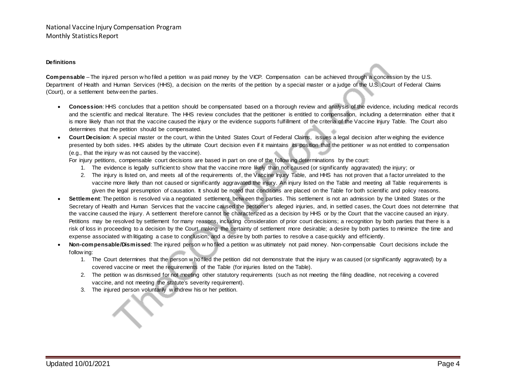### National Vaccine Injury Compensation Program Monthly Statistics Report

#### **Definitions**

**Compensable** – The injured person w ho filed a petition w as paid money by the VICP. Compensation can be achieved through a concession by the U.S. Department of Health and Human Services (HHS), a decision on the merits of the petition by a special master or a judge of the U.S. Court of Federal Claims (Court), or a settlement betw een the parties.

- **Concession**: HHS concludes that a petition should be compensated based on a thorough review and analysis of the evidence, including medical records and the scientific and medical literature. The HHS review concludes that the petitioner is entitled to compensation, including a determination either that it is more likely than not that the vaccine caused the injury or the evidence supports fulfillment of the criteria of the Vaccine Injury Table. The Court also determines that the petition should be compensated.
- **Court Decision**: A special master or the court, w ithin the United States Court of Federal Claims, issues a legal decision after w eighing the evidence presented by both sides. HHS abides by the ultimate Court decision even if it maintains its position that the petitioner w as not entitled to compensation (e.g., that the injury w as not caused by the vaccine).

For injury petitions, compensable court decisions are based in part on one of the follow ing determinations by the court:

- 1. The evidence is legally sufficient to show that the vaccine more likely than not caused (or significantly aggravated) the injury; or
- 2. The injury is listed on, and meets all of the requirements of, the Vaccine Injury Table, and HHS has not proven that a factor unrelated to the vaccine more likely than not caused or significantly aggravated the injury. An injury listed on the Table and meeting all Table requirements is given the legal presumption of causation. It should be noted that conditions are placed on the Table for both scientific and policy reasons.
- **Settlement**: The petition is resolved via a negotiated settlement betw een the parties. This settlement is not an admission by the United States or the Secretary of Health and Human Services that the vaccine caused the petitioner's alleged injuries, and, in settled cases, the Court does not determine that the vaccine caused the injury. A settlement therefore cannot be characterized as a decision by HHS or by the Court that the vaccine caused an injury. Petitions may be resolved by settlement for many reasons, including consideration of prior court decisions; a recognition by both parties that there is a risk of loss in proceeding to a decision by the Court making the certainty of settlement more desirable; a desire by both parties to minimize the time and expense associated w ith litigating a case to conclusion; and a desire by both parties to resolve a case quickly and efficiently.
- **Non-compensable/Dismissed**: The injured person w ho filed a petition w as ultimately not paid money. Non-compensable Court decisions include the follow ing:
	- 1. The Court determines that the person w ho filed the petition did not demonstrate that the injury w as caused (or significantly aggravated) by a covered vaccine or meet the requirements of the Table (for injuries listed on the Table).
	- 2. The petition w as dismissed for not meeting other statutory requirements (such as not meeting the filing deadline, not receiving a covered vaccine, and not meeting the statute's severity requirement).
	- 3. The injured person voluntarily w ithdrew his or her petition.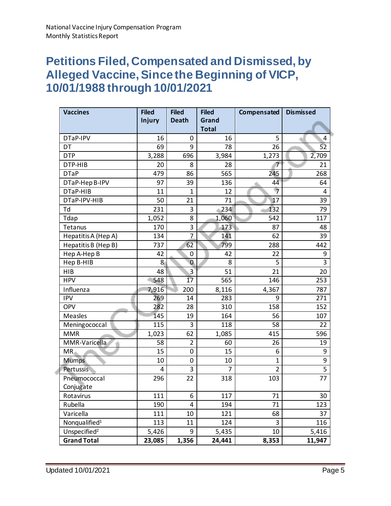## **Petitions Filed, Compensated and Dismissed, by Alleged Vaccine, Since the Beginning of VICP, 10/01/1988 through 10/01/2021**

| <b>Vaccines</b>           | <b>Filed</b> | <b>Filed</b>   | <b>Filed</b>          | Compensated    | <b>Dismissed</b> |
|---------------------------|--------------|----------------|-----------------------|----------------|------------------|
|                           | Injury       | <b>Death</b>   | Grand<br><b>Total</b> |                |                  |
| DTaP-IPV                  | 16           | 0              | 16                    | 5              | 4                |
| DT                        | 69           | 9              | 78                    | 26             | 52               |
| <b>DTP</b>                | 3,288        | 696            | 3,984                 | 1,273          | 2,709            |
| DTP-HIB                   | 20           | 8              | 28                    | 7              | 21               |
| <b>DTaP</b>               | 479          | 86             | 565                   | 245            | 268              |
| DTaP-Hep B-IPV            | 97           | 39             | 136                   | 44             | 64               |
| DTaP-HIB                  | 11           | $\mathbf{1}$   | 12                    | 7              | 4                |
| DTaP-IPV-HIB              | 50           | 21             | 71                    | 17             | 39               |
| Td                        | 231          | 3              | 234                   | 132            | 79               |
| Tdap                      | 1,052        | 8              | 1,060                 | 542            | 117              |
| Tetanus                   | 170          | 3              | 173                   | 87             | 48               |
| Hepatitis A (Hep A)       | 134          | $\overline{7}$ | 141                   | 62             | 39               |
| Hepatitis B (Hep B)       | 737          | 62             | 799                   | 288            | 442              |
| Hep A-Hep B               | 42           | 0              | 42                    | 22             | 9                |
| Hep B-HIB                 | 8            | $\bf{0}$       | 8                     | 5              | 3                |
| <b>HIB</b>                | 48           | $\overline{3}$ | 51                    | 21             | 20               |
| <b>HPV</b>                | 548          | 17             | 565                   | 146            | 253              |
| Influenza                 | 7,916        | 200            | 8,116                 | 4,367          | 787              |
| <b>IPV</b>                | 269          | 14             | 283                   | 9              | 271              |
| <b>OPV</b>                | 282          | 28             | 310                   | 158            | 152              |
| <b>Measles</b>            | 145          | 19             | 164                   | 56             | 107              |
| Meningococcal             | 115          | 3              | 118                   | 58             | 22               |
| <b>MMR</b>                | 1,023        | 62             | 1,085                 | 415            | 596              |
| MMR-Varicella             | 58           | 2              | 60                    | 26             | 19               |
| MR.                       | 15           | 0              | 15                    | 6              | 9                |
| <b>Mumps</b>              | 10           | 0              | 10                    | 1              | 9                |
| <b>Pertussis</b>          | 4            | 3              | 7                     | $\overline{2}$ | 5                |
| Pneumococcal<br>Conjugate | 296          | 22             | 318                   | 103            | 77               |
| Rotavirus                 | 111          | 6              | 117                   | 71             | 30               |
| Rubella                   | 190          | 4              | 194                   | 71             | 123              |
| Varicella                 | 111          | 10             | 121                   | 68             | 37               |
| Nonqualified <sup>1</sup> | 113          | 11             | 124                   | 3              | 116              |
| Unspecified <sup>2</sup>  | 5,426        | 9              | 5,435                 | 10             | 5,416            |
| <b>Grand Total</b>        | 23,085       | 1,356          | 24,441                | 8,353          | 11,947           |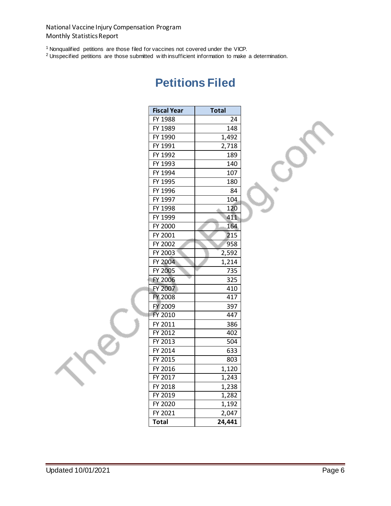National Vaccine Injury Compensation Program Monthly Statistics Report

<sup>1</sup> Nonqualified petitions are those filed for vaccines not covered under the VICP.

<sup>2</sup> Unspecified petitions are those submitted w ith insufficient information to make a determination.

| <b>Fiscal Year</b> | <b>Total</b> |
|--------------------|--------------|
| FY 1988            | 24           |
| FY 1989            | 148          |
| FY 1990            | 1,492        |
| FY 1991            | 2,718        |
| FY 1992            | 189          |
| FY 1993            | 140          |
| FY 1994            | 107          |
| FY 1995            | 180          |
| FY 1996            | 84           |
| FY 1997            | 104          |
| FY 1998            | 120          |
| FY 1999            | 411          |
| FY 2000            | 164          |
| FY 2001            | 215          |
| FY 2002            | 958          |
| FY 2003            | 2,592        |
| FY 2004            | 1,214        |
| FY 2005            | 735          |
| FY 2006            | 325          |
| FY 2007            | 410          |
| FY 2008            | 417          |
| FY 2009            | 397          |
| FY 2010            | 447          |
| FY 2011            | 386          |
| FY 2012            | 402          |
| FY 2013            | 504          |
| FY 2014            | 633          |
| FY 2015            | 803          |
| FY 2016            | 1,120        |
| FY 2017            | 1,243        |
| FY 2018            | 1,238        |
| FY 2019            | 1,282        |
| FY 2020            | 1,192        |
|                    |              |
| FY 2021            | 2,047        |

### **Petitions Filed**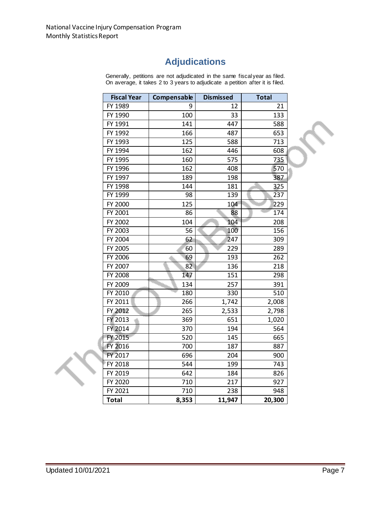### **Adjudications**

Generally, petitions are not adjudicated in the same fiscal year as filed. On average, it takes 2 to 3 years to adjudicate a petition after it is filed.

| <b>Fiscal Year</b> | Compensable | <b>Dismissed</b> | <b>Total</b> |  |
|--------------------|-------------|------------------|--------------|--|
| FY 1989            | 9           | 12               | 21           |  |
| FY 1990            | 100         | 33               | 133          |  |
| FY 1991            | 141         | 447              | 588          |  |
| FY 1992            | 166         | 487              | 653          |  |
| FY 1993            | 125         | 588              | 713          |  |
| FY 1994            | 162         | 446              | 608          |  |
| FY 1995            | 160         | 575              | 735          |  |
| FY 1996            | 162         | 408              | 570          |  |
| FY 1997            | 189         | 198              | 387          |  |
| FY 1998            | 144         | 181              | 325          |  |
| FY 1999            | 98          | 139              | 237          |  |
| FY 2000            | 125         | 104              | 229          |  |
| FY 2001            | 86          | 88               | 174          |  |
| FY 2002            | 104         | 104              | 208          |  |
| FY 2003            | 56          | 100              | 156          |  |
| FY 2004            | 62          | 247              | 309          |  |
| FY 2005            | 60          | 229              | 289          |  |
| FY 2006            | 69          | 193              | 262          |  |
| FY 2007            | 82          | 136              | 218          |  |
| FY 2008            | 147         | 151              | 298          |  |
| FY 2009            | 134         | 257              | 391          |  |
| FY 2010            | 180         | 330              | 510          |  |
| FY 2011            | 266         | 1,742            | 2,008        |  |
| FY 2012            | 265         | 2,533            | 2,798        |  |
| FY 2013            | 369         | 651              | 1,020        |  |
| FY 2014            | 370         | 194              | 564          |  |
| FY 2015            | 520         | 145              | 665          |  |
| FY 2016            | 700         | 187              | 887          |  |
| FY 2017            | 696         | 204              | 900          |  |
| FY 2018            | 544         | 199              | 743          |  |
| FY 2019            | 642         | 184              | 826          |  |
| FY 2020            | 710         | 217              | 927          |  |
| FY 2021            | 710         | 238              | 948          |  |
| <b>Total</b>       | 8,353       | 11,947           | 20,300       |  |



 $\prec$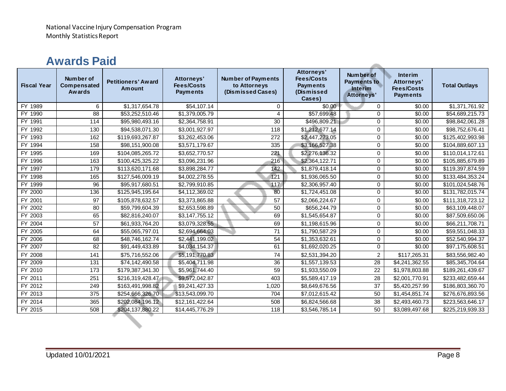# **Awards Paid**

| <b>Fiscal Year</b> | Number of<br>Compensated<br>Awards | <b>Petitioners' Award</b><br>Amount | Attorneys'<br><b>Fees/Costs</b><br><b>Payments</b> | <b>Number of Payments</b><br>to Attorneys<br>(Dismissed Cases) | Attorneys'<br><b>Fees/Costs</b><br><b>Payments</b><br>(Dismissed<br>Cases) | Number of<br><b>Payments to</b><br><b>Interim</b><br><b>Attorneys'</b> | <b>Interim</b><br>Attorneys'<br><b>Fees/Costs</b><br><b>Payments</b> | <b>Total Outlays</b> |
|--------------------|------------------------------------|-------------------------------------|----------------------------------------------------|----------------------------------------------------------------|----------------------------------------------------------------------------|------------------------------------------------------------------------|----------------------------------------------------------------------|----------------------|
| FY 1989            | 6                                  | \$1,317,654.78                      | \$54,107.14                                        | 0                                                              | \$0.00                                                                     | 0                                                                      | \$0.00                                                               | \$1,371,761.92       |
| FY 1990            | 88                                 | \$53,252,510.46                     | \$1,379,005.79                                     | $\overline{4}$                                                 | \$57,699.48                                                                | 0                                                                      | \$0.00                                                               | \$54,689,215.73      |
| FY 1991            | 114                                | \$95,980,493.16                     | \$2,364,758.91                                     | $\overline{30}$                                                | \$496,809.21                                                               | 0                                                                      | \$0.00                                                               | \$98,842,061.28      |
| FY 1992            | 130                                | \$94,538,071.30                     | \$3,001,927.97                                     | 118                                                            | \$1,212,677.14                                                             | 0                                                                      | \$0.00                                                               | \$98,752,676.41      |
| FY 1993            | 162                                | \$119,693,267.87                    | \$3,262,453.06                                     | 272                                                            | \$2,447,273.05                                                             | 0                                                                      | \$0.00                                                               | \$125,402,993.98     |
| FY 1994            | 158                                | \$98,151,900.08                     | \$3,571,179.67                                     | 335                                                            | \$3,166,527.38                                                             | 0                                                                      | \$0.00                                                               | \$104,889,607.13     |
| FY 1995            | 169                                | \$104,085,265.72                    | \$3,652,770.57                                     | 221                                                            | \$2,276,136.32                                                             | 0                                                                      | \$0.00                                                               | \$110,014,172.61     |
| FY 1996            | 163                                | \$100,425,325.22                    | \$3,096,231.96                                     | 216                                                            | \$2,364,122.71                                                             | 0                                                                      | \$0.00                                                               | \$105,885,679.89     |
| FY 1997            | 179                                | \$113,620,171.68                    | \$3,898,284.77                                     | 142                                                            | \$1,879,418.14                                                             | 0                                                                      | \$0.00                                                               | \$119,397,874.59     |
| FY 1998            | 165                                | \$127,546,009.19                    | \$4,002,278.55                                     | 121                                                            | \$1,936,065.50                                                             | 0                                                                      | \$0.00                                                               | \$133,484,353.24     |
| FY 1999            | 96                                 | \$95,917,680.51                     | \$2,799,910.85                                     | 117                                                            | \$2,306,957.40                                                             | 0                                                                      | \$0.00                                                               | \$101,024,548.76     |
| FY 2000            | 136                                | \$125,945,195.64                    | \$4,112,369.02                                     | 80                                                             | \$1,724,451.08                                                             | 0                                                                      | \$0.00                                                               | \$131,782,015.74     |
| FY 2001            | 97                                 | \$105,878,632.57                    | \$3,373,865.88                                     | 57                                                             | \$2,066,224.67                                                             | 0                                                                      | \$0.00                                                               | \$111,318,723.12     |
| FY 2002            | 80                                 | \$59,799,604.39                     | \$2,653,598.89                                     | 50                                                             | \$656,244.79                                                               | 0                                                                      | \$0.00                                                               | \$63,109,448.07      |
| FY 2003            | 65                                 | \$82,816,240.07                     | \$3,147,755.12                                     | 69                                                             | \$1,545,654.87                                                             | 0                                                                      | \$0.00                                                               | \$87,509,650.06      |
| FY 2004            | 57                                 | \$61,933,764.20                     | \$3,079,328.55                                     | 69                                                             | \$1,198,615.96                                                             | 0                                                                      | \$0.00                                                               | \$66,211,708.71      |
| FY 2005            | 64                                 | \$55,065,797.01                     | \$2,694,664.03                                     | 71                                                             | \$1,790,587.29                                                             | 0                                                                      | \$0.00                                                               | \$59,551,048.33      |
| FY 2006            | 68                                 | \$48,746,162.74                     | \$2,441,199.02                                     | 54                                                             | \$1,353,632.61                                                             | 0                                                                      | \$0.00                                                               | \$52,540,994.37      |
| FY 2007            | 82                                 | \$91,449,433.89                     | \$4,034,154.37                                     | 61                                                             | \$1,692,020.25                                                             | 0                                                                      | \$0.00                                                               | \$97,175,608.51      |
| FY 2008            | 141                                | \$75,716,552.06                     | \$5,191,770.83                                     | 74                                                             | \$2,531,394.20                                                             | $\overline{2}$                                                         | \$117,265.31                                                         | \$83,556,982.40      |
| FY 2009            | 131                                | \$74,142,490.58                     | \$5,404,711.98                                     | 36                                                             | \$1,557,139.53                                                             | 28                                                                     | \$4,241,362.55                                                       | \$85,345,704.64      |
| FY 2010            | 173                                | \$179,387,341.30                    | \$5,961,744.40                                     | 59                                                             | \$1,933,550.09                                                             | 22                                                                     | $\overline{\$1,}978,803.88$                                          | \$189,261,439.67     |
| FY 2011            | 251                                | \$216,319,428.47                    | \$9,572,042.87                                     | 403                                                            | \$5,589,417.19                                                             | 28                                                                     | \$2,001,770.91                                                       | \$233,482,659.44     |
| FY 2012            | 249                                | \$163,491,998.82                    | \$9,241,427.33                                     | 1,020                                                          | \$8,649,676.56                                                             | 37                                                                     | \$5,420,257.99                                                       | \$186,803,360.70     |
| FY 2013            | 375                                | \$254,666,326.70                    | \$13,543,099.70                                    | 704                                                            | \$7,012,615.42                                                             | 50                                                                     | $\overline{\$1,454,851.74}$                                          | \$276,676,893.56     |
| FY 2014            | 365                                | \$202,084,196.12                    | \$12,161,422.64                                    | 508                                                            | \$6,824,566.68                                                             | 38                                                                     | \$2,493,460.73                                                       | \$223,563,646.17     |
| FY 2015            | 508                                | \$204,137,880.22                    | \$14,445,776.29                                    | 118                                                            | \$3,546,785.14                                                             | 50                                                                     | \$3,089,497.68                                                       | \$225,219,939.33     |